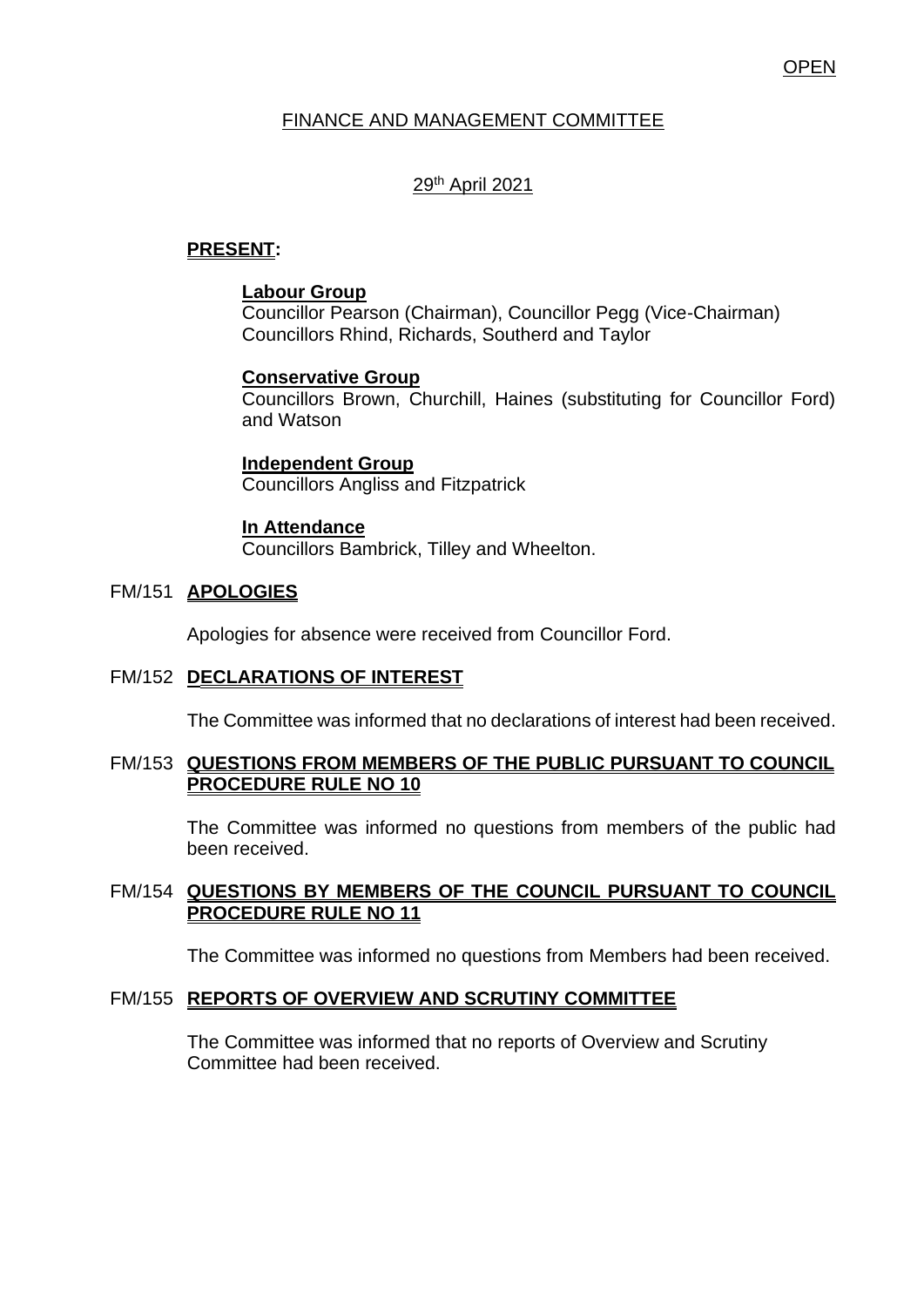# FINANCE AND MANAGEMENT COMMITTEE

### 29th April 2021

### **PRESENT:**

### **Labour Group**

Councillor Pearson (Chairman), Councillor Pegg (Vice-Chairman) Councillors Rhind, Richards, Southerd and Taylor

#### **Conservative Group**

Councillors Brown, Churchill, Haines (substituting for Councillor Ford) and Watson

**Independent Group** Councillors Angliss and Fitzpatrick

#### **In Attendance**

Councillors Bambrick, Tilley and Wheelton.

### FM/151 **APOLOGIES**

Apologies for absence were received from Councillor Ford.

#### FM/152 **DECLARATIONS OF INTEREST**

The Committee was informed that no declarations of interest had been received.

#### FM/153 **QUESTIONS FROM MEMBERS OF THE PUBLIC PURSUANT TO COUNCIL PROCEDURE RULE NO 10**

The Committee was informed no questions from members of the public had been received.

### FM/154 **QUESTIONS BY MEMBERS OF THE COUNCIL PURSUANT TO COUNCIL PROCEDURE RULE NO 11**

The Committee was informed no questions from Members had been received.

#### FM/155 **REPORTS OF OVERVIEW AND SCRUTINY COMMITTEE**

The Committee was informed that no reports of Overview and Scrutiny Committee had been received.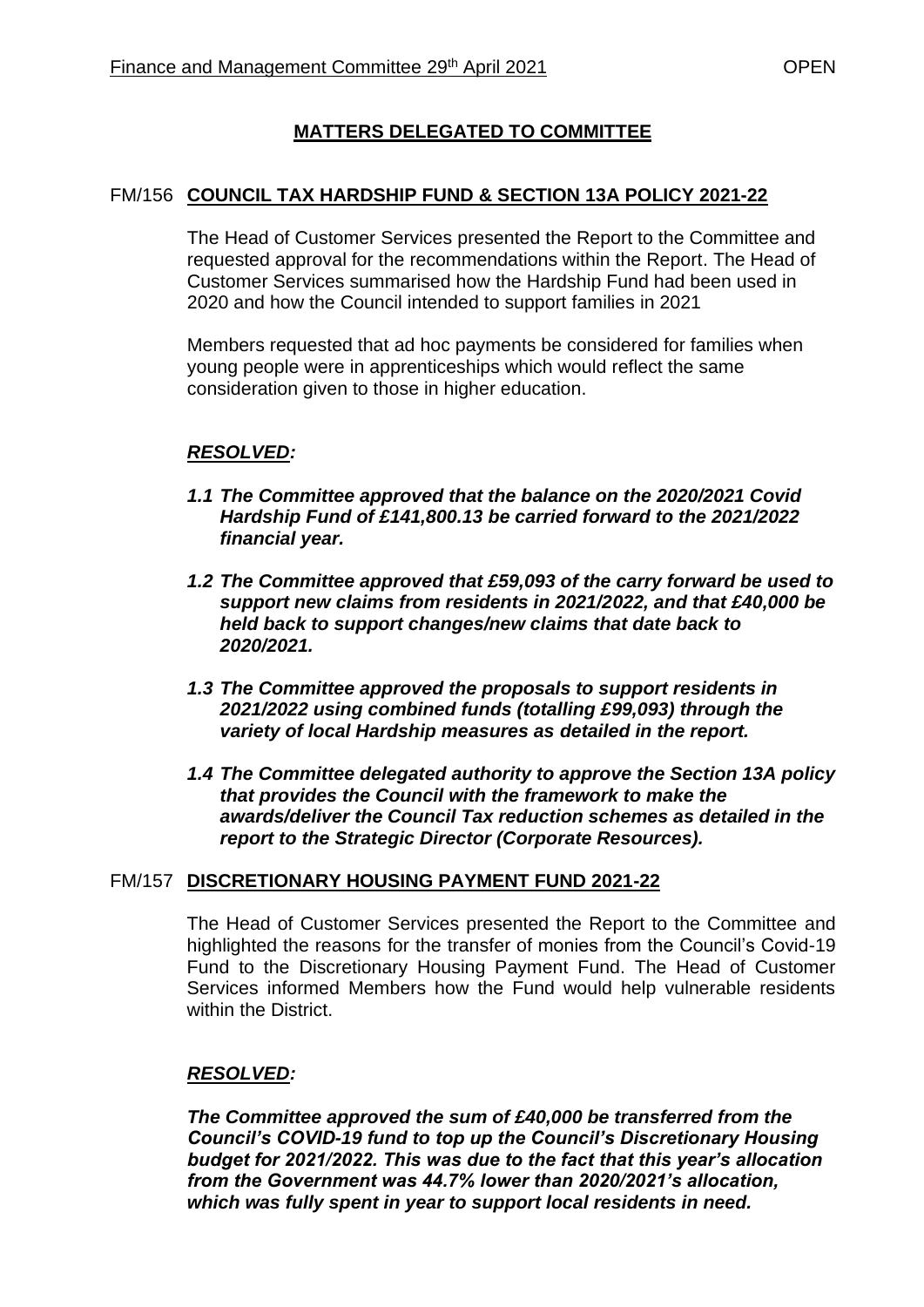# **MATTERS DELEGATED TO COMMITTEE**

# FM/156 **COUNCIL TAX HARDSHIP FUND & SECTION 13A POLICY 2021-22**

The Head of Customer Services presented the Report to the Committee and requested approval for the recommendations within the Report. The Head of Customer Services summarised how the Hardship Fund had been used in 2020 and how the Council intended to support families in 2021

Members requested that ad hoc payments be considered for families when young people were in apprenticeships which would reflect the same consideration given to those in higher education.

# *RESOLVED:*

- *1.1 The Committee approved that the balance on the 2020/2021 Covid Hardship Fund of £141,800.13 be carried forward to the 2021/2022 financial year.*
- *1.2 The Committee approved that £59,093 of the carry forward be used to support new claims from residents in 2021/2022, and that £40,000 be held back to support changes/new claims that date back to 2020/2021.*
- *1.3 The Committee approved the proposals to support residents in 2021/2022 using combined funds (totalling £99,093) through the variety of local Hardship measures as detailed in the report.*
- *1.4 The Committee delegated authority to approve the Section 13A policy that provides the Council with the framework to make the awards/deliver the Council Tax reduction schemes as detailed in the report to the Strategic Director (Corporate Resources).*

### FM/157 **DISCRETIONARY HOUSING PAYMENT FUND 2021-22**

The Head of Customer Services presented the Report to the Committee and highlighted the reasons for the transfer of monies from the Council's Covid-19 Fund to the Discretionary Housing Payment Fund. The Head of Customer Services informed Members how the Fund would help vulnerable residents within the District.

# *RESOLVED:*

*The Committee approved the sum of £40,000 be transferred from the Council's COVID-19 fund to top up the Council's Discretionary Housing budget for 2021/2022. This was due to the fact that this year's allocation from the Government was 44.7% lower than 2020/2021's allocation, which was fully spent in year to support local residents in need.*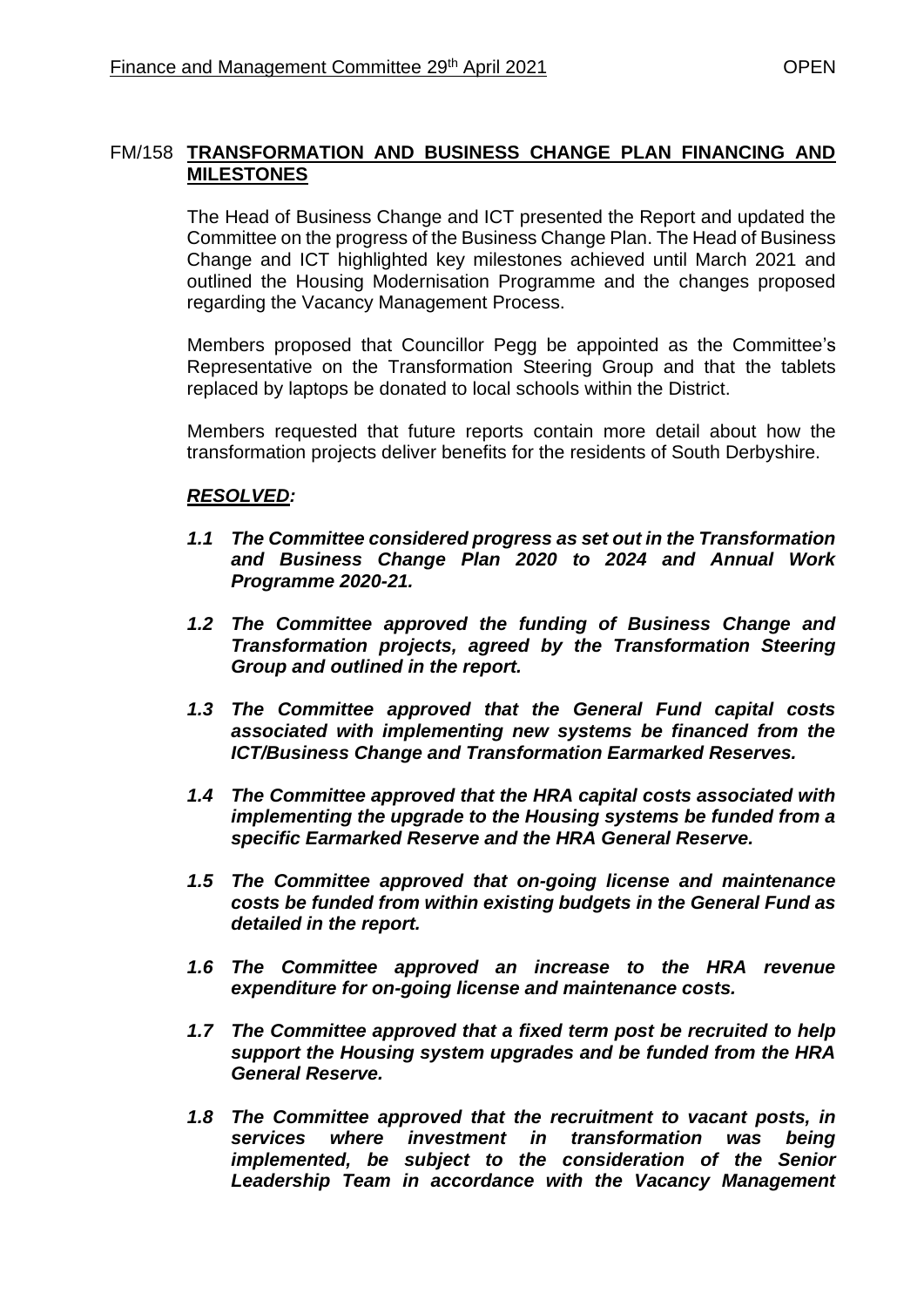# FM/158 **TRANSFORMATION AND BUSINESS CHANGE PLAN FINANCING AND MILESTONES**

The Head of Business Change and ICT presented the Report and updated the Committee on the progress of the Business Change Plan. The Head of Business Change and ICT highlighted key milestones achieved until March 2021 and outlined the Housing Modernisation Programme and the changes proposed regarding the Vacancy Management Process.

Members proposed that Councillor Pegg be appointed as the Committee's Representative on the Transformation Steering Group and that the tablets replaced by laptops be donated to local schools within the District.

Members requested that future reports contain more detail about how the transformation projects deliver benefits for the residents of South Derbyshire.

# *RESOLVED:*

- *1.1 The Committee considered progress as set out in the Transformation and Business Change Plan 2020 to 2024 and Annual Work Programme 2020-21.*
- *1.2 The Committee approved the funding of Business Change and Transformation projects, agreed by the Transformation Steering Group and outlined in the report.*
- *1.3 The Committee approved that the General Fund capital costs associated with implementing new systems be financed from the ICT/Business Change and Transformation Earmarked Reserves.*
- *1.4 The Committee approved that the HRA capital costs associated with implementing the upgrade to the Housing systems be funded from a specific Earmarked Reserve and the HRA General Reserve.*
- *1.5 The Committee approved that on-going license and maintenance costs be funded from within existing budgets in the General Fund as detailed in the report.*
- *1.6 The Committee approved an increase to the HRA revenue expenditure for on-going license and maintenance costs.*
- *1.7 The Committee approved that a fixed term post be recruited to help support the Housing system upgrades and be funded from the HRA General Reserve.*
- *1.8 The Committee approved that the recruitment to vacant posts, in services where investment in transformation was being implemented, be subject to the consideration of the Senior Leadership Team in accordance with the Vacancy Management*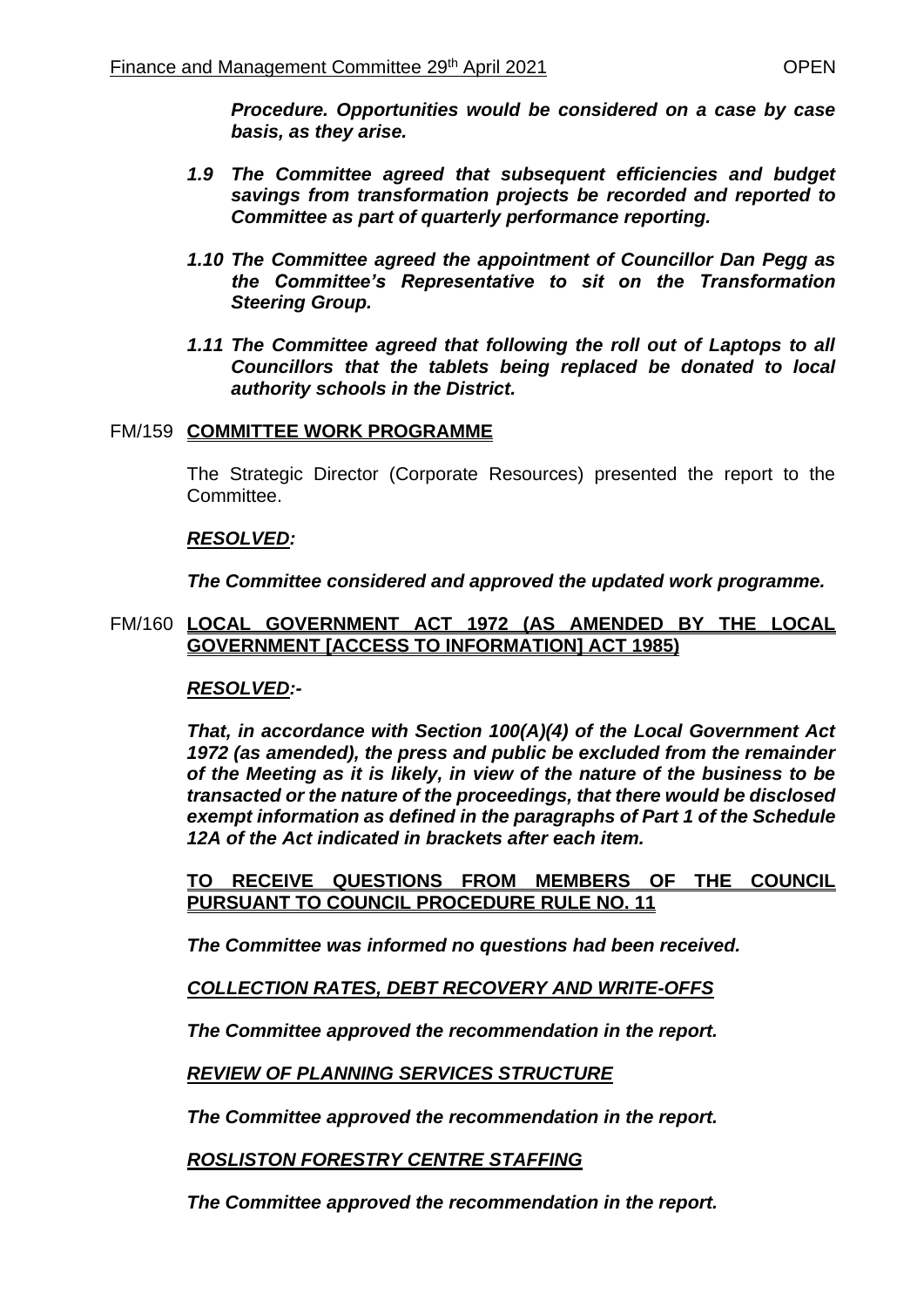*Procedure. Opportunities would be considered on a case by case basis, as they arise.* 

- *1.9 The Committee agreed that subsequent efficiencies and budget savings from transformation projects be recorded and reported to Committee as part of quarterly performance reporting.*
- *1.10 The Committee agreed the appointment of Councillor Dan Pegg as the Committee's Representative to sit on the Transformation Steering Group.*
- *1.11 The Committee agreed that following the roll out of Laptops to all Councillors that the tablets being replaced be donated to local authority schools in the District.*

#### FM/159 **COMMITTEE WORK PROGRAMME**

The Strategic Director (Corporate Resources) presented the report to the Committee.

#### *RESOLVED:*

*The Committee considered and approved the updated work programme.* 

#### FM/160 **LOCAL GOVERNMENT ACT 1972 (AS AMENDED BY THE LOCAL GOVERNMENT [ACCESS TO INFORMATION] ACT 1985)**

### *RESOLVED:-*

*That, in accordance with Section 100(A)(4) of the Local Government Act 1972 (as amended), the press and public be excluded from the remainder of the Meeting as it is likely, in view of the nature of the business to be transacted or the nature of the proceedings, that there would be disclosed exempt information as defined in the paragraphs of Part 1 of the Schedule 12A of the Act indicated in brackets after each item.*

**TO RECEIVE QUESTIONS FROM MEMBERS OF THE COUNCIL PURSUANT TO COUNCIL PROCEDURE RULE NO. 11** 

*The Committee was informed no questions had been received.*

### *COLLECTION RATES, DEBT RECOVERY AND WRITE-OFFS*

*The Committee approved the recommendation in the report.*

### *REVIEW OF PLANNING SERVICES STRUCTURE*

*The Committee approved the recommendation in the report.*

*ROSLISTON FORESTRY CENTRE STAFFING*

*The Committee approved the recommendation in the report.*